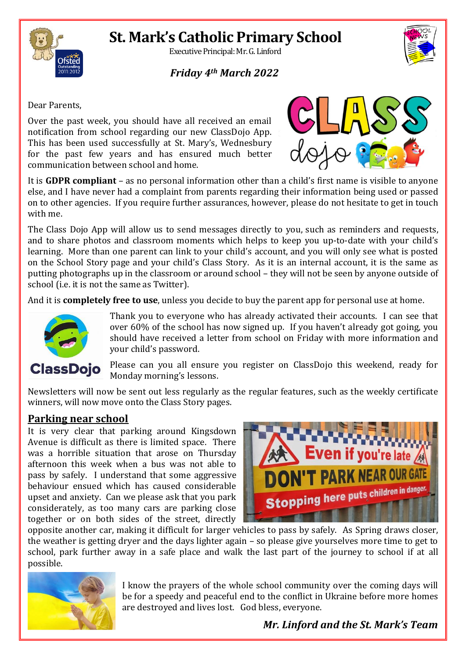# **St. Mark's Catholic Primary School**



Executive Principal: Mr. G. Linford

### *Friday 4th March 2022*



Dear Parents,

Over the past week, you should have all received an email notification from school regarding our new ClassDojo App. This has been used successfully at St. Mary's, Wednesbury for the past few years and has ensured much better communication between school and home.



It is **GDPR compliant** – as no personal information other than a child's first name is visible to anyone else, and I have never had a complaint from parents regarding their information being used or passed on to other agencies. If you require further assurances, however, please do not hesitate to get in touch with me.

The Class Dojo App will allow us to send messages directly to you, such as reminders and requests, and to share photos and classroom moments which helps to keep you up-to-date with your child's learning. More than one parent can link to your child's account, and you will only see what is posted on the School Story page and your child's Class Story. As it is an internal account, it is the same as putting photographs up in the classroom or around school – they will not be seen by anyone outside of school (i.e. it is not the same as Twitter).

And it is **completely free to use**, unless you decide to buy the parent app for personal use at home.



Thank you to everyone who has already activated their accounts. I can see that over 60% of the school has now signed up. If you haven't already got going, you should have received a letter from school on Friday with more information and your child's password.

**ClassDoio** 

Please can you all ensure you register on ClassDojo this weekend, ready for Monday morning's lessons.

Newsletters will now be sent out less regularly as the regular features, such as the weekly certificate winners, will now move onto the Class Story pages.

#### **Parking near school**

It is very clear that parking around Kingsdown Avenue is difficult as there is limited space. There was a horrible situation that arose on Thursday afternoon this week when a bus was not able to pass by safely. I understand that some aggressive behaviour ensued which has caused considerable upset and anxiety. Can we please ask that you park considerately, as too many cars are parking close together or on both sides of the street, directly



opposite another car, making it difficult for larger vehicles to pass by safely. As Spring draws closer, the weather is getting dryer and the days lighter again – so please give yourselves more time to get to school, park further away in a safe place and walk the last part of the journey to school if at all possible.



I know the prayers of the whole school community over the coming days will be for a speedy and peaceful end to the conflict in Ukraine before more homes are destroyed and lives lost. God bless, everyone.

*Mr. Linford and the St. Mark's Team*